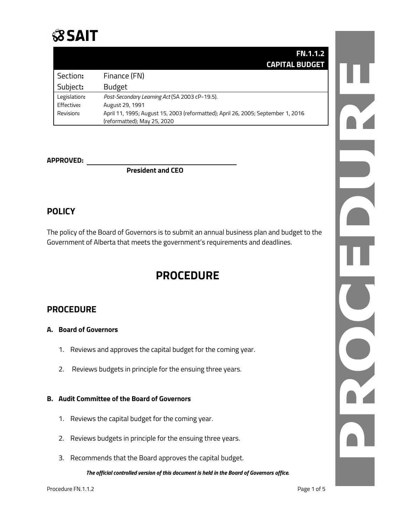

|              | <b>FN.1.1.2</b>                                                                  |
|--------------|----------------------------------------------------------------------------------|
|              | <b>CAPITAL BUDGET</b>                                                            |
| Section:     | Finance (FN)                                                                     |
| Subject:     | <b>Budget</b>                                                                    |
| Legislation: | Post-Secondary Learning Act (SA 2003 cP-19.5).                                   |
| Effective:   | August 29, 1991                                                                  |
| Revision:    | April 11, 1995; August 15, 2003 (reformatted); April 26, 2005; September 1, 2016 |
|              | (reformatted); May 25, 2020                                                      |

### **APPROVED:**

**President and CEO**

# **POLICY**

The policy of the Board of Governors is to submit an annual business plan and budget to the Government of Alberta that meets the government's requirements and deadlines.

# **PROCEDURE**

## **PROCEDURE**

#### **A. Board of Governors**

- 1. Reviews and approves the capital budget for the coming year.
- 2. Reviews budgets in principle for the ensuing three years.

#### **B. Audit Committee of the Board of Governors**

- 1. Reviews the capital budget for the coming year.
- 2. Reviews budgets in principle for the ensuing three years.
- 3. Recommends that the Board approves the capital budget.

*The official controlled version of this document is held in the Board of Governors office.*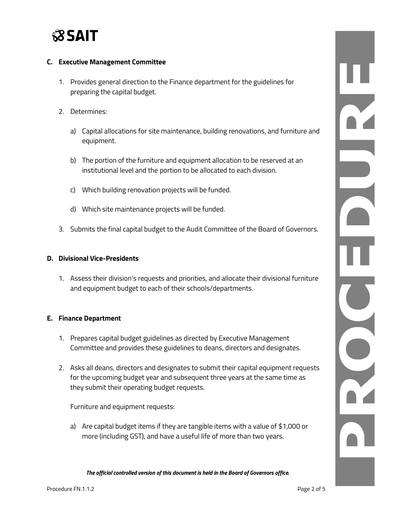

#### **C. Executive Management Committee**

- 1. Provides general direction to the Finance department for the guidelines for preparing the capital budget.
- 2. Determines:
	- a) Capital allocations for site maintenance, building renovations, and furniture and equipment.
	- b) The portion of the furniture and equipment allocation to be reserved at an institutional level and the portion to be allocated to each division.
	- c) Which building renovation projects will be funded.
	- d) Which site maintenance projects will be funded.
- 3. Submits the final capital budget to the Audit Committee of the Board of Governors.

#### **D. Divisional Vice-Presidents**

1. Assess their division's requests and priorities, and allocate their divisional furniture and equipment budget to each of their schools/departments.

#### **E. Finance Department**

- 1. Prepares capital budget guidelines as directed by Executive Management Committee and provides these guidelines to deans, directors and designates.
- 2. Asks all deans, directors and designates to submit their capital equipment requests for the upcoming budget year and subsequent three years at the same time as they submit their operating budget requests.

Furniture and equipment requests:

a) Are capital budget items if they are tangible items with a value of \$1,000 or more (including GST), and have a useful life of more than two years.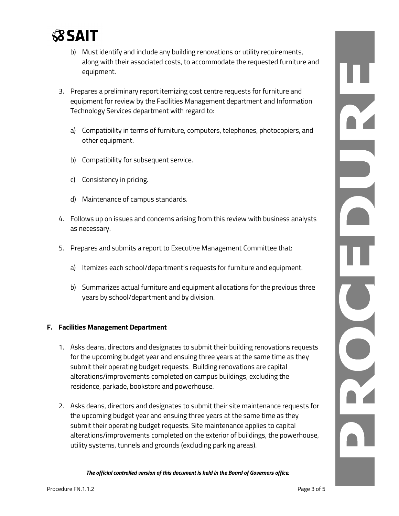

- b) Must identify and include any building renovations or utility requirements, along with their associated costs, to accommodate the requested furniture and equipment.
- 3. Prepares a preliminary report itemizing cost centre requests for furniture and equipment for review by the Facilities Management department and Information Technology Services department with regard to:
	- a) Compatibility in terms of furniture, computers, telephones, photocopiers, and other equipment.
	- b) Compatibility for subsequent service.
	- c) Consistency in pricing.
	- d) Maintenance of campus standards.
- 4. Follows up on issues and concerns arising from this review with business analysts as necessary.
- 5. Prepares and submits a report to Executive Management Committee that:
	- a) Itemizes each school/department's requests for furniture and equipment.
	- b) Summarizes actual furniture and equipment allocations for the previous three years by school/department and by division.

#### **F. Facilities Management Department**

- 1. Asks deans, directors and designates to submit their building renovations requests for the upcoming budget year and ensuing three years at the same time as they submit their operating budget requests. Building renovations are capital alterations/improvements completed on campus buildings, excluding the residence, parkade, bookstore and powerhouse.
- 2. Asks deans, directors and designates to submit their site maintenance requests for the upcoming budget year and ensuing three years at the same time as they submit their operating budget requests. Site maintenance applies to capital alterations/improvements completed on the exterior of buildings, the powerhouse, utility systems, tunnels and grounds (excluding parking areas).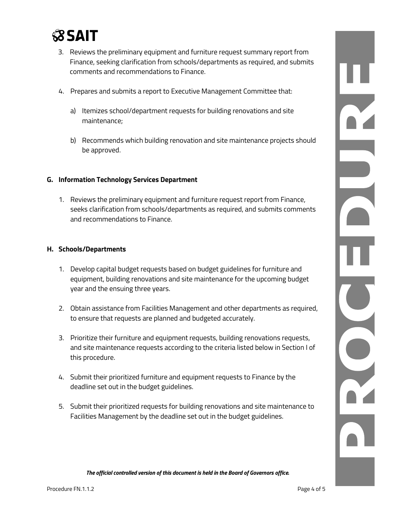

- 3. Reviews the preliminary equipment and furniture request summary report from Finance, seeking clarification from schools/departments as required, and submits comments and recommendations to Finance.
- 4. Prepares and submits a report to Executive Management Committee that:
	- a) Itemizes school/department requests for building renovations and site maintenance;
	- b) Recommends which building renovation and site maintenance projects should be approved.

#### **G. Information Technology Services Department**

1. Reviews the preliminary equipment and furniture request report from Finance, seeks clarification from schools/departments as required, and submits comments and recommendations to Finance.

#### **H. Schools/Departments**

- 1. Develop capital budget requests based on budget guidelines for furniture and equipment, building renovations and site maintenance for the upcoming budget year and the ensuing three years.
- 2. Obtain assistance from Facilities Management and other departments as required, to ensure that requests are planned and budgeted accurately.
- 3. Prioritize their furniture and equipment requests, building renovations requests, and site maintenance requests according to the criteria listed below in Section I of this procedure.
- 4. Submit their prioritized furniture and equipment requests to Finance by the deadline set out in the budget guidelines.
- 5. Submit their prioritized requests for building renovations and site maintenance to Facilities Management by the deadline set out in the budget guidelines.